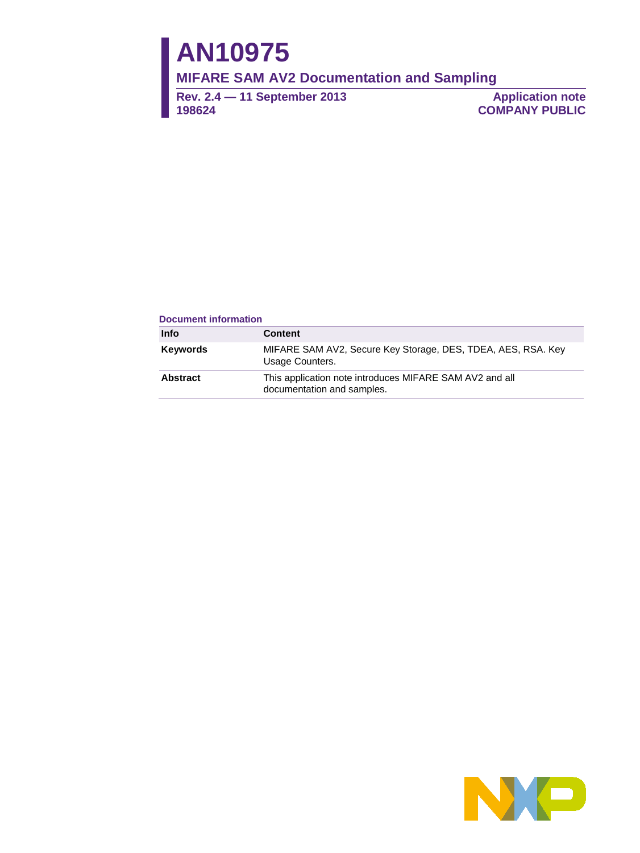# **AN10975**

**MIFARE SAM AV2 Documentation and Sampling**

**Rev. 2.4 — 11 September 2013 198624**

**Application note COMPANY PUBLIC**

#### **Document information**

| <b>Info</b>     | <b>Content</b>                                                                        |
|-----------------|---------------------------------------------------------------------------------------|
| <b>Keywords</b> | MIFARE SAM AV2, Secure Key Storage, DES, TDEA, AES, RSA. Key<br>Usage Counters.       |
| <b>Abstract</b> | This application note introduces MIFARE SAM AV2 and all<br>documentation and samples. |

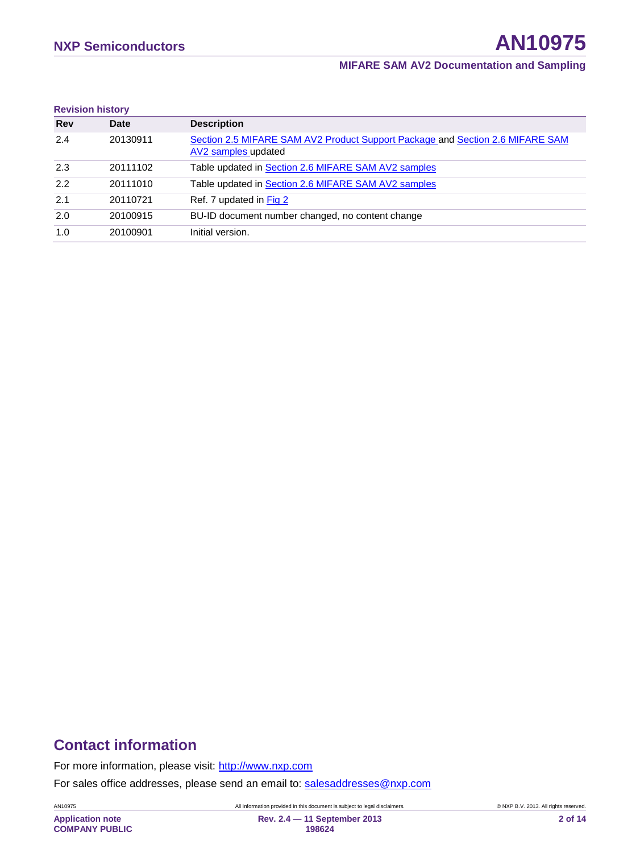| <b>Revision history</b> |          |                                                                                                      |
|-------------------------|----------|------------------------------------------------------------------------------------------------------|
| <b>Rev</b>              | Date     | <b>Description</b>                                                                                   |
| 2.4                     | 20130911 | Section 2.5 MIFARE SAM AV2 Product Support Package and Section 2.6 MIFARE SAM<br>AV2 samples updated |
| 2.3                     | 20111102 | Table updated in Section 2.6 MIFARE SAM AV2 samples                                                  |
| 2.2                     | 20111010 | Table updated in Section 2.6 MIFARE SAM AV2 samples                                                  |
| 2.1                     | 20110721 | Ref. 7 updated in Fig 2                                                                              |
| 2.0                     | 20100915 | BU-ID document number changed, no content change                                                     |
| 1.0                     | 20100901 | Initial version.                                                                                     |

# **Contact information**

For more information, please visit: [http://www.nxp.com](http://www.nxp.com/)

For sales office addresses, please send an email to: [salesaddresses@nxp.com](mailto:salesaddresses@nxp.com)

AN10975 All information provided in this document is subject to legal disclaimers. © NXP B.V. 2013. All rights reserved.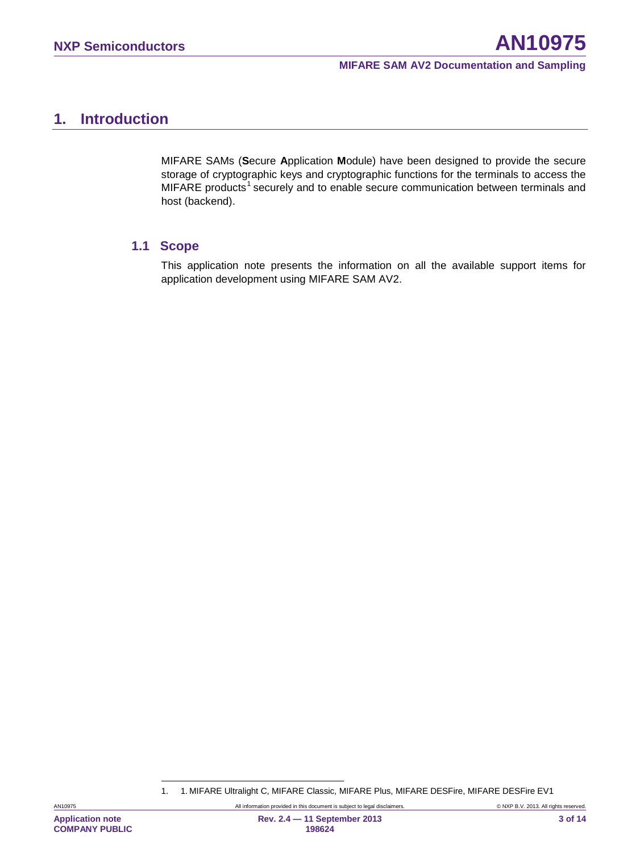# <span id="page-2-1"></span>**1. Introduction**

MIFARE SAMs (**S**ecure **A**pplication **M**odule) have been designed to provide the secure storage of cryptographic keys and cryptographic functions for the terminals to access the MIFARE products<sup>[1](#page-2-0)</sup> securely and to enable secure communication between terminals and host (backend).

#### <span id="page-2-2"></span>**1.1 Scope**

This application note presents the information on all the available support items for application development using MIFARE SAM AV2.

<span id="page-2-0"></span>

<sup>1. 1.</sup> MIFARE Ultralight C, MIFARE Classic, MIFARE Plus, MIFARE DESFire, MIFARE DESFire EV1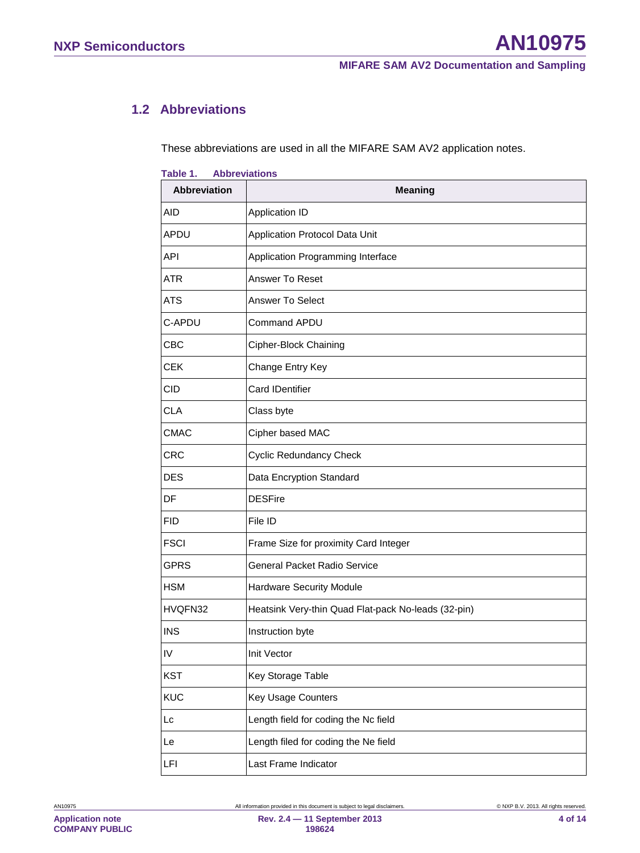## <span id="page-3-0"></span>**1.2 Abbreviations**

These abbreviations are used in all the MIFARE SAM AV2 application notes.

| <b>Abbreviation</b> | <b>Meaning</b>                                      |
|---------------------|-----------------------------------------------------|
| <b>AID</b>          | Application ID                                      |
| APDU                | Application Protocol Data Unit                      |
| <b>API</b>          | Application Programming Interface                   |
| <b>ATR</b>          | Answer To Reset                                     |
| <b>ATS</b>          | Answer To Select                                    |
| C-APDU              | Command APDU                                        |
| <b>CBC</b>          | Cipher-Block Chaining                               |
| <b>CEK</b>          | Change Entry Key                                    |
| CID                 | <b>Card IDentifier</b>                              |
| <b>CLA</b>          | Class byte                                          |
| <b>CMAC</b>         | Cipher based MAC                                    |
| <b>CRC</b>          | <b>Cyclic Redundancy Check</b>                      |
| <b>DES</b>          | Data Encryption Standard                            |
| DF                  | <b>DESFire</b>                                      |
| <b>FID</b>          | File ID                                             |
| <b>FSCI</b>         | Frame Size for proximity Card Integer               |
| <b>GPRS</b>         | <b>General Packet Radio Service</b>                 |
| <b>HSM</b>          | Hardware Security Module                            |
| HVQFN32             | Heatsink Very-thin Quad Flat-pack No-leads (32-pin) |
| <b>INS</b>          | Instruction byte                                    |
| IV                  | Init Vector                                         |
| <b>KST</b>          | Key Storage Table                                   |
| <b>KUC</b>          | Key Usage Counters                                  |
| Lc                  | Length field for coding the Nc field                |
| Le                  | Length filed for coding the Ne field                |
| LFI                 | Last Frame Indicator                                |

#### **Table 1. Abbreviations**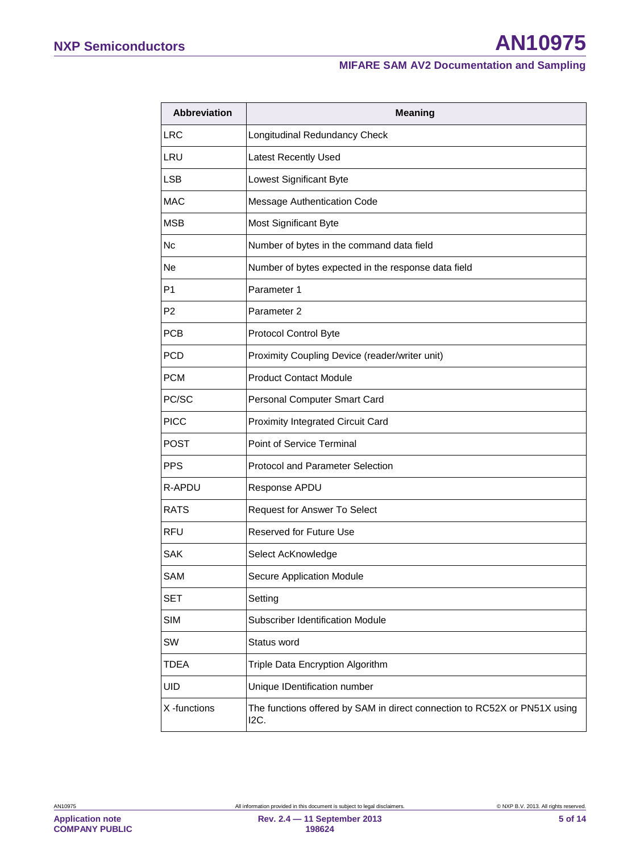# **NXP Semiconductors AN10975**

#### **MIFARE SAM AV2 Documentation and Sampling**

| <b>Abbreviation</b> | <b>Meaning</b>                                                                    |  |
|---------------------|-----------------------------------------------------------------------------------|--|
| <b>LRC</b>          | Longitudinal Redundancy Check                                                     |  |
| LRU                 | <b>Latest Recently Used</b>                                                       |  |
| <b>LSB</b>          | Lowest Significant Byte                                                           |  |
| MAC                 | Message Authentication Code                                                       |  |
| <b>MSB</b>          | Most Significant Byte                                                             |  |
| Nc                  | Number of bytes in the command data field                                         |  |
| Ne.                 | Number of bytes expected in the response data field                               |  |
| P <sub>1</sub>      | Parameter 1                                                                       |  |
| P <sub>2</sub>      | Parameter 2                                                                       |  |
| <b>PCB</b>          | Protocol Control Byte                                                             |  |
| <b>PCD</b>          | Proximity Coupling Device (reader/writer unit)                                    |  |
| <b>PCM</b>          | <b>Product Contact Module</b>                                                     |  |
| PC/SC               | Personal Computer Smart Card                                                      |  |
| <b>PICC</b>         | Proximity Integrated Circuit Card                                                 |  |
| <b>POST</b>         | Point of Service Terminal                                                         |  |
| <b>PPS</b>          | Protocol and Parameter Selection                                                  |  |
| R-APDU              | Response APDU                                                                     |  |
| <b>RATS</b>         | Request for Answer To Select                                                      |  |
| <b>RFU</b>          | Reserved for Future Use                                                           |  |
| <b>SAK</b>          | Select AcKnowledge                                                                |  |
| SAM                 | Secure Application Module                                                         |  |
| <b>SET</b>          | Setting                                                                           |  |
| <b>SIM</b>          | <b>Subscriber Identification Module</b>                                           |  |
| SW                  | Status word                                                                       |  |
| <b>TDEA</b>         | Triple Data Encryption Algorithm                                                  |  |
| <b>UID</b>          | Unique IDentification number                                                      |  |
| X -functions        | The functions offered by SAM in direct connection to RC52X or PN51X using<br>I2C. |  |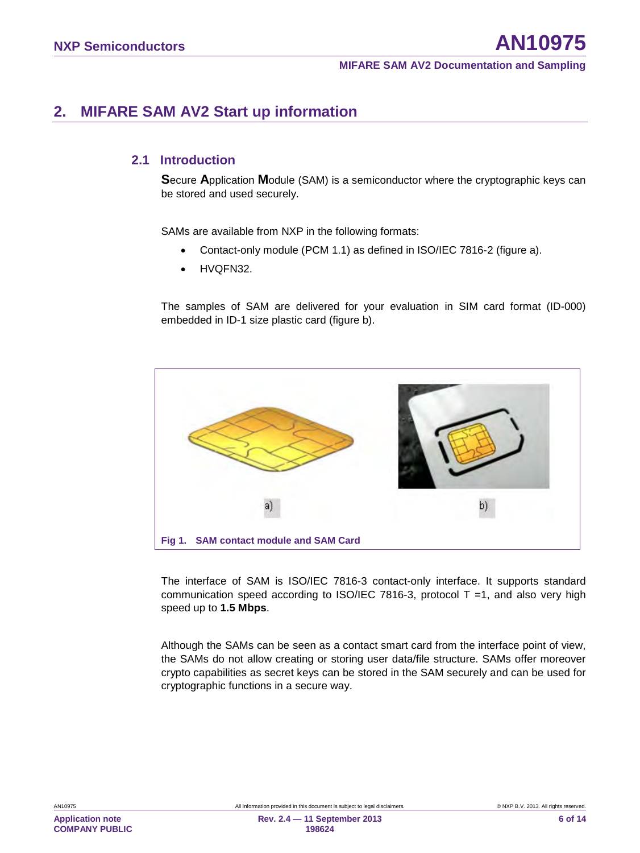# <span id="page-5-0"></span>**2. MIFARE SAM AV2 Start up information**

## <span id="page-5-1"></span>**2.1 Introduction**

**S**ecure **A**pplication **M**odule (SAM) is a semiconductor where the cryptographic keys can be stored and used securely.

SAMs are available from NXP in the following formats:

- Contact-only module (PCM 1.1) as defined in ISO/IEC 7816-2 (figure a).
- HVQFN32.

The samples of SAM are delivered for your evaluation in SIM card format (ID-000) embedded in ID-1 size plastic card (figure b).



The interface of SAM is ISO/IEC 7816-3 contact-only interface. It supports standard communication speed according to ISO/IEC 7816-3, protocol  $T = 1$ , and also very high speed up to **1.5 Mbps**.

Although the SAMs can be seen as a contact smart card from the interface point of view, the SAMs do not allow creating or storing user data/file structure. SAMs offer moreover crypto capabilities as secret keys can be stored in the SAM securely and can be used for cryptographic functions in a secure way.

**Application note COMPANY PUBLIC**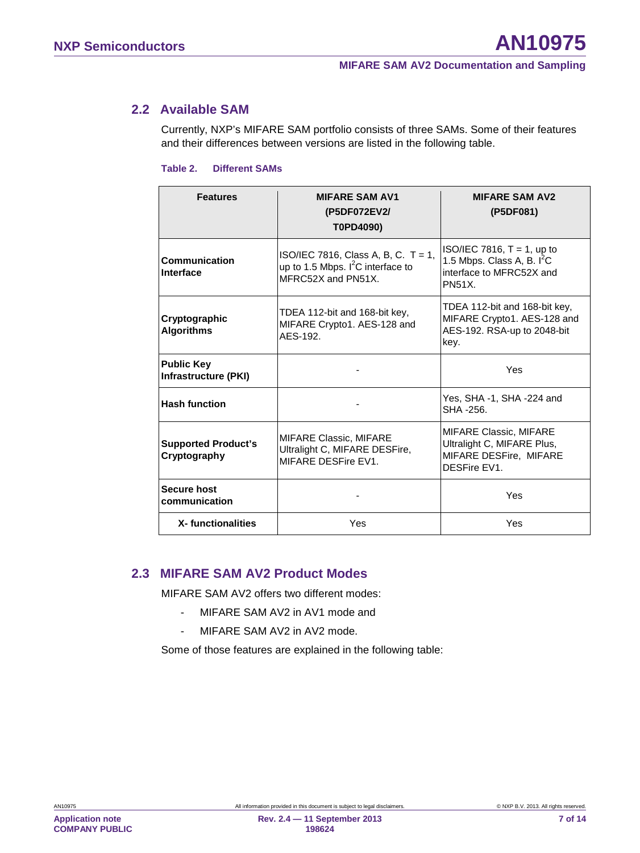## **2.2 Available SAM**

<span id="page-6-0"></span>Currently, NXP's MIFARE SAM portfolio consists of three SAMs. Some of their features and their differences between versions are listed in the following table.

#### **Table 2. Different SAMs**

| <b>Features</b>                            | <b>MIFARE SAM AV1</b><br>(P5DF072EV2/<br>T0PD4090)                                                                                                                              | <b>MIFARE SAM AV2</b><br>(P5DF081)                                                                         |  |  |
|--------------------------------------------|---------------------------------------------------------------------------------------------------------------------------------------------------------------------------------|------------------------------------------------------------------------------------------------------------|--|--|
| Communication<br>Interface                 | ISO/IEC 7816, Class A, B, C. T = 1,<br>up to 1.5 Mbps. $I^2C$ interface to<br>MFRC52X and PN51X.                                                                                | $ISO/IEC 7816$ , T = 1, up to<br>1.5 Mbps. Class A, B. $I^2C$<br>interface to MFRC52X and<br><b>PN51X.</b> |  |  |
| Cryptographic<br><b>Algorithms</b>         | TDEA 112-bit and 168-bit key,<br>TDEA 112-bit and 168-bit key,<br>MIFARE Crypto1. AES-128 and<br>MIFARE Crypto1. AES-128 and<br>AES-192. RSA-up to 2048-bit<br>AES-192.<br>key. |                                                                                                            |  |  |
| <b>Public Key</b><br>Infrastructure (PKI)  |                                                                                                                                                                                 | Yes                                                                                                        |  |  |
| <b>Hash function</b>                       |                                                                                                                                                                                 | Yes, SHA -1, SHA -224 and<br>SHA -256.                                                                     |  |  |
| <b>Supported Product's</b><br>Cryptography | <b>MIFARE Classic, MIFARE</b><br>Ultralight C, MIFARE DESFire,<br>MIFARE DESFire EV1.                                                                                           | <b>MIFARE Classic, MIFARE</b><br>Ultralight C, MIFARE Plus,<br>MIFARE DESFire, MIFARE<br>DESFire EV1.      |  |  |
| <b>Secure host</b><br>communication        |                                                                                                                                                                                 | Yes                                                                                                        |  |  |
| X-functionalities                          | Yes<br>Yes                                                                                                                                                                      |                                                                                                            |  |  |

## <span id="page-6-1"></span>**2.3 MIFARE SAM AV2 Product Modes**

MIFARE SAM AV2 offers two different modes:

- MIFARE SAM AV2 in AV1 mode and
- MIFARE SAM AV2 in AV2 mode.

Some of those features are explained in the following table: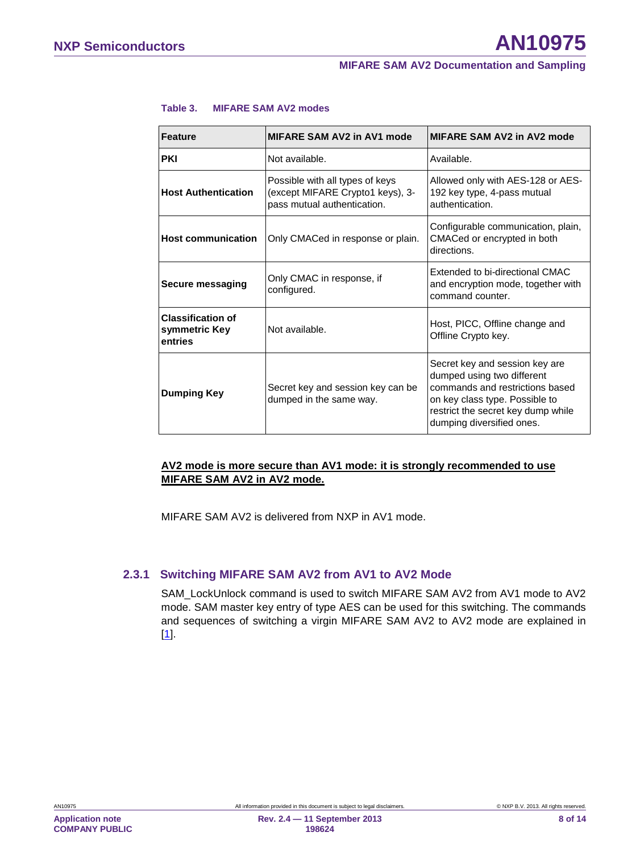| <b>Feature</b>                                                                     | MIFARE SAM AV2 in AV1 mode                                                                         | MIFARE SAM AV2 in AV2 mode                                                                                                                                                                           |
|------------------------------------------------------------------------------------|----------------------------------------------------------------------------------------------------|------------------------------------------------------------------------------------------------------------------------------------------------------------------------------------------------------|
| <b>PKI</b>                                                                         | Not available.                                                                                     | Available.                                                                                                                                                                                           |
| <b>Host Authentication</b>                                                         | Possible with all types of keys<br>(except MIFARE Crypto1 keys), 3-<br>pass mutual authentication. | Allowed only with AES-128 or AES-<br>192 key type, 4-pass mutual<br>authentication.                                                                                                                  |
| <b>Host communication</b>                                                          | Only CMACed in response or plain.                                                                  | Configurable communication, plain,<br>CMACed or encrypted in both<br>directions.                                                                                                                     |
| <b>Secure messaging</b>                                                            | Only CMAC in response, if<br>configured.                                                           | Extended to bi-directional CMAC<br>and encryption mode, together with<br>command counter.                                                                                                            |
| <b>Classification of</b><br>Not available.<br>symmetric Key<br>entries             |                                                                                                    | Host, PICC, Offline change and<br>Offline Crypto key.                                                                                                                                                |
| Secret key and session key can be<br><b>Dumping Key</b><br>dumped in the same way. |                                                                                                    | Secret key and session key are<br>dumped using two different<br>commands and restrictions based<br>on key class type. Possible to<br>restrict the secret key dump while<br>dumping diversified ones. |

#### **Table 3. MIFARE SAM AV2 modes**

#### **AV2 mode is more secure than AV1 mode: it is strongly recommended to use MIFARE SAM AV2 in AV2 mode.**

MIFARE SAM AV2 is delivered from NXP in AV1 mode.

#### **2.3.1 Switching MIFARE SAM AV2 from AV1 to AV2 Mode**

<span id="page-7-0"></span>SAM\_LockUnlock command is used to switch MIFARE SAM AV2 from AV1 mode to AV2 mode. SAM master key entry of type AES can be used for this switching. The commands and sequences of switching a virgin MIFARE SAM AV2 to AV2 mode are explained in [1].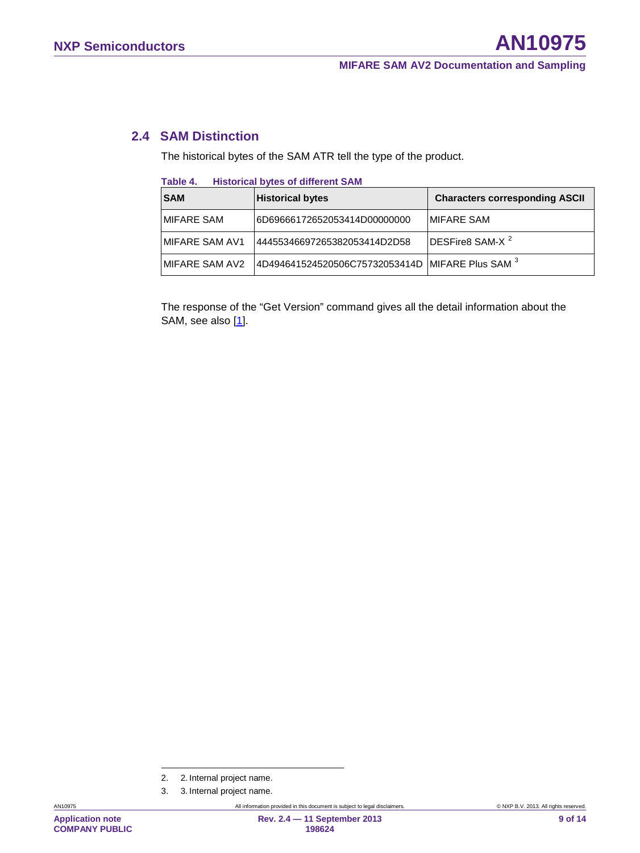## **2.4 SAM Distinction**

<span id="page-8-2"></span>The historical bytes of the SAM ATR tell the type of the product.

| Table 4. |  | <b>Historical bytes of different SAM</b> |  |
|----------|--|------------------------------------------|--|
|----------|--|------------------------------------------|--|

| <b>SAM</b>      | <b>Historical bytes</b>                          | <b>Characters corresponding ASCII</b> |  |
|-----------------|--------------------------------------------------|---------------------------------------|--|
| IMIFARE SAM     | I6D69666172652053414D00000000                    | IMIFARE SAM                           |  |
| IMIFARE SAM AV1 | 144455346697265382053414D2D58                    | DESFire8 SAM-X <sup>2</sup>           |  |
| IMIFARE SAM AV2 | 4D494641524520506C75732053414D MIFARE Plus SAM 3 |                                       |  |

The response of the "Get Version" command gives all the detail information about the SAM, see also [1].

3. 3. Internal project name.

<span id="page-8-1"></span><span id="page-8-0"></span>

<sup>2. 2.</sup> Internal project name.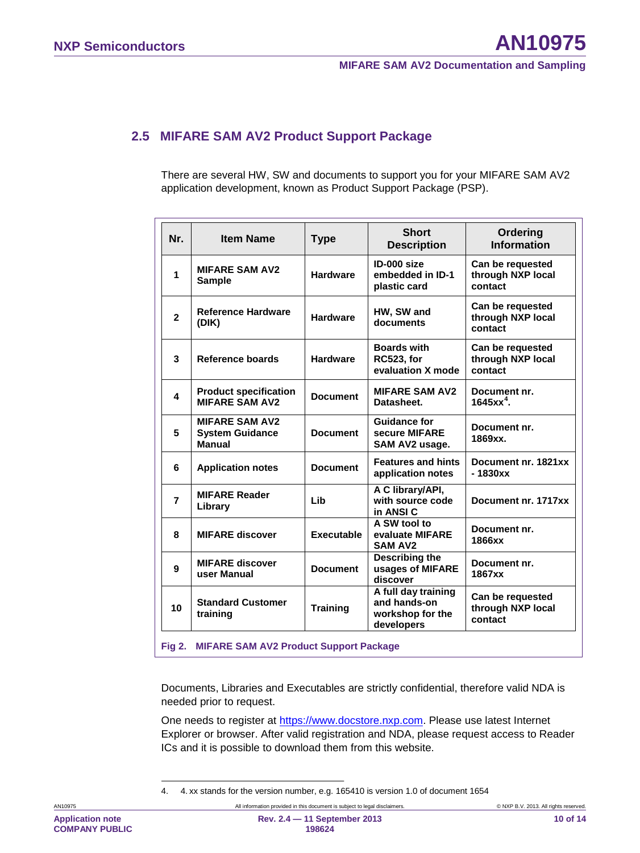## <span id="page-9-0"></span>**2.5 MIFARE SAM AV2 Product Support Package**

There are several HW, SW and documents to support you for your MIFARE SAM AV2 application development, known as Product Support Package (PSP).

| Nr.            | <b>Item Name</b>                                                 | <b>Type</b>       | <b>Short</b><br><b>Description</b>                                    | Ordering<br><b>Information</b>                   |
|----------------|------------------------------------------------------------------|-------------------|-----------------------------------------------------------------------|--------------------------------------------------|
| 1              | <b>MIFARE SAM AV2</b><br><b>Sample</b>                           | <b>Hardware</b>   | ID-000 size<br>embedded in ID-1<br>plastic card                       | Can be requested<br>through NXP local<br>contact |
| $\overline{2}$ | <b>Reference Hardware</b><br>(DIK)                               | <b>Hardware</b>   | HW, SW and<br>documents                                               | Can be requested<br>through NXP local<br>contact |
| 3              | Reference boards                                                 | <b>Hardware</b>   | <b>Boards with</b><br><b>RC523, for</b><br>evaluation X mode          | Can be requested<br>through NXP local<br>contact |
| 4              | <b>Product specification</b><br><b>MIFARE SAM AV2</b>            | <b>Document</b>   | <b>MIFARE SAM AV2</b><br>Datasheet.                                   | Document nr.<br>$1645xx^4$ .                     |
| 5              | <b>MIFARE SAM AV2</b><br><b>System Guidance</b><br><b>Manual</b> | <b>Document</b>   | <b>Guidance for</b><br>secure MIFARE<br>SAM AV2 usage.                | Document nr.<br>1869xx.                          |
| 6              | <b>Application notes</b>                                         | <b>Document</b>   | <b>Features and hints</b><br>application notes                        | Document nr. 1821xx<br>$-1830xx$                 |
| $\overline{7}$ | <b>MIFARE Reader</b><br>Library                                  | Lib               | A C library/API,<br>with source code<br>in ANSI C                     | Document nr. 1717xx                              |
| 8              | <b>MIFARE discover</b>                                           | <b>Executable</b> | A SW tool to<br>evaluate MIFARE<br><b>SAM AV2</b>                     | Document nr.<br>1866xx                           |
| 9              | <b>MIFARE discover</b><br>user Manual                            | <b>Document</b>   | Describing the<br>usages of MIFARE<br>discover                        | Document nr.<br>1867xx                           |
| 10             | <b>Standard Customer</b><br>training                             | <b>Training</b>   | A full day training<br>and hands-on<br>workshop for the<br>developers | Can be requested<br>through NXP local<br>contact |

<span id="page-9-1"></span>**Fig 2. MIFARE SAM AV2 Product Support Package**

Documents, Libraries and Executables are strictly confidential, therefore valid NDA is needed prior to request.

One needs to register at [https://www.docstore.nxp.com.](https://www.docstore.nxp.com/) Please use latest Internet Explorer or browser. After valid registration and NDA, please request access to Reader ICs and it is possible to download them from this website.

<span id="page-9-2"></span>4. 4. xx stands for the version number, e.g. 165410 is version 1.0 of document 1654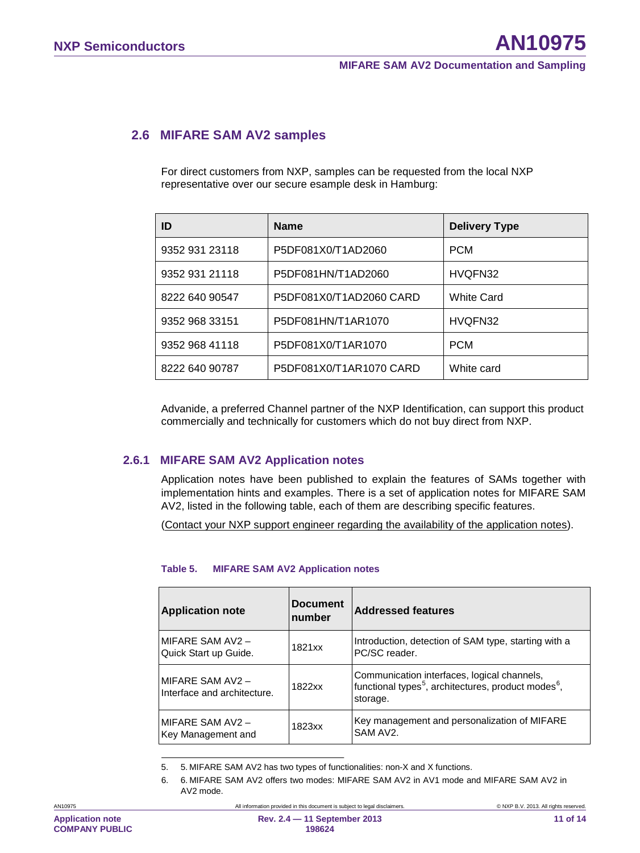### <span id="page-10-0"></span>**2.6 MIFARE SAM AV2 samples**

For direct customers from NXP, samples can be requested from the local NXP representative over our secure esample desk in Hamburg:

| ID             | <b>Name</b>             | <b>Delivery Type</b> |
|----------------|-------------------------|----------------------|
| 9352 931 23118 | P5DF081X0/T1AD2060      | <b>PCM</b>           |
| 9352 931 21118 | P5DF081HN/T1AD2060      | HVQFN32              |
| 8222 640 90547 | P5DF081X0/T1AD2060 CARD | <b>White Card</b>    |
| 9352 968 33151 | P5DF081HN/T1AR1070      | HVQFN32              |
| 9352 968 41118 | P5DF081X0/T1AR1070      | <b>PCM</b>           |
| 8222 640 90787 | P5DF081X0/T1AR1070 CARD | White card           |

Advanide, a preferred Channel partner of the NXP Identification, can support this product commercially and technically for customers which do not buy direct from NXP.

#### **2.6.1 MIFARE SAM AV2 Application notes**

<span id="page-10-3"></span>Application notes have been published to explain the features of SAMs together with implementation hints and examples. There is a set of application notes for MIFARE SAM AV2, listed in the following table, each of them are describing specific features.

(Contact your NXP support engineer regarding the availability of the application notes).

#### **Table 5. MIFARE SAM AV2 Application notes**

| <b>Application note</b>                         | <b>Document</b><br><b>Inumber</b> | <b>Addressed features</b>                                                                                                              |
|-------------------------------------------------|-----------------------------------|----------------------------------------------------------------------------------------------------------------------------------------|
| MIFARE SAM AV2 -<br>Quick Start up Guide.       | 1821xx                            | Introduction, detection of SAM type, starting with a<br>PC/SC reader.                                                                  |
| MIFARE SAM AV2 -<br>Interface and architecture. | 1822xx                            | Communication interfaces, logical channels,<br>functional types <sup>5</sup> , architectures, product modes <sup>6</sup> ,<br>storage. |
| MIFARE SAM AV2 -<br>Key Management and          | 1823xx                            | Key management and personalization of MIFARE<br>SAM AV <sub>2</sub>                                                                    |

5. 5. MIFARE SAM AV2 has two types of functionalities: non-X and X functions.

<span id="page-10-2"></span><span id="page-10-1"></span>6. 6. MIFARE SAM AV2 offers two modes: MIFARE SAM AV2 in AV1 mode and MIFARE SAM AV2 in AV2 mode.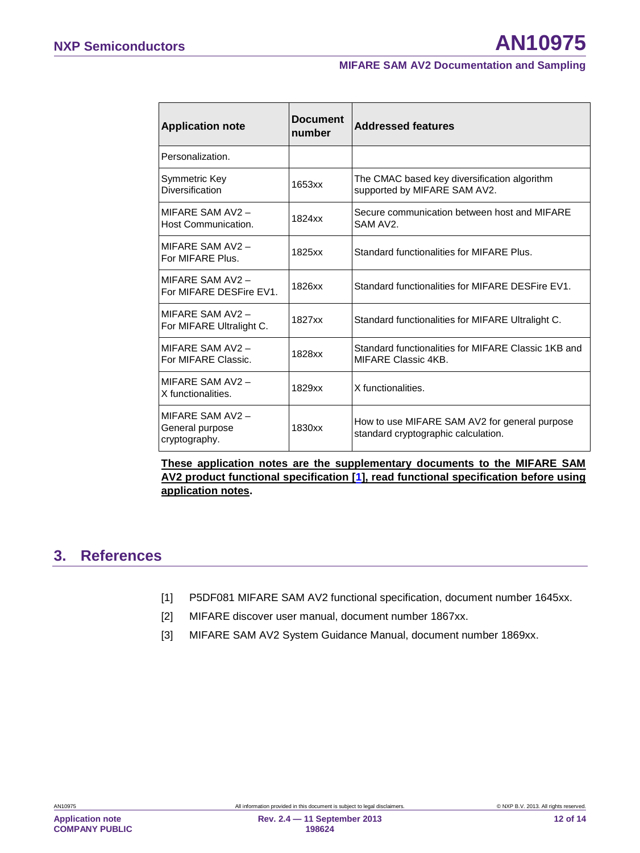| <b>Application note</b>                             | <b>Document</b><br>number | <b>Addressed features</b>                                                            |
|-----------------------------------------------------|---------------------------|--------------------------------------------------------------------------------------|
| Personalization.                                    |                           |                                                                                      |
| Symmetric Key<br>Diversification                    | 1653xx                    | The CMAC based key diversification algorithm<br>supported by MIFARE SAM AV2.         |
| MIFARE SAM AV2 -<br>Host Communication.             | 1824xx                    | Secure communication between host and MIFARE<br>SAM AV <sub>2</sub>                  |
| MIFARE SAM AV2 -<br>For MIFARE Plus.                | 1825xx                    | Standard functionalities for MIFARE Plus.                                            |
| MIFARE SAM AV2 -<br>For MIFARE DESFire EV1.         | 1826xx                    | Standard functionalities for MIFARE DESFire EV1.                                     |
| MIFARE SAM AV2 -<br>For MIFARE Ultralight C.        | 1827xx                    | Standard functionalities for MIFARE Ultralight C.                                    |
| MIFARE SAM AV2 -<br>For MIFARE Classic.             | 1828xx                    | Standard functionalities for MIFARE Classic 1KB and<br>MIFARE Classic 4KB.           |
| MIFARE SAM AV2 -<br>X functionalities.              | 1829xx                    | X functionalities.                                                                   |
| MIFARE SAM AV2-<br>General purpose<br>cryptography. | 1830xx                    | How to use MIFARE SAM AV2 for general purpose<br>standard cryptographic calculation. |

**These application notes are the supplementary documents to the MIFARE SAM AV2 product functional specification [1], read functional specification before using application notes.** 

# <span id="page-11-0"></span>**3. References**

- [1] P5DF081 MIFARE SAM AV2 functional specification, document number 1645xx.
- [2] MIFARE discover user manual, document number 1867xx.
- [3] MIFARE SAM AV2 System Guidance Manual, document number 1869xx.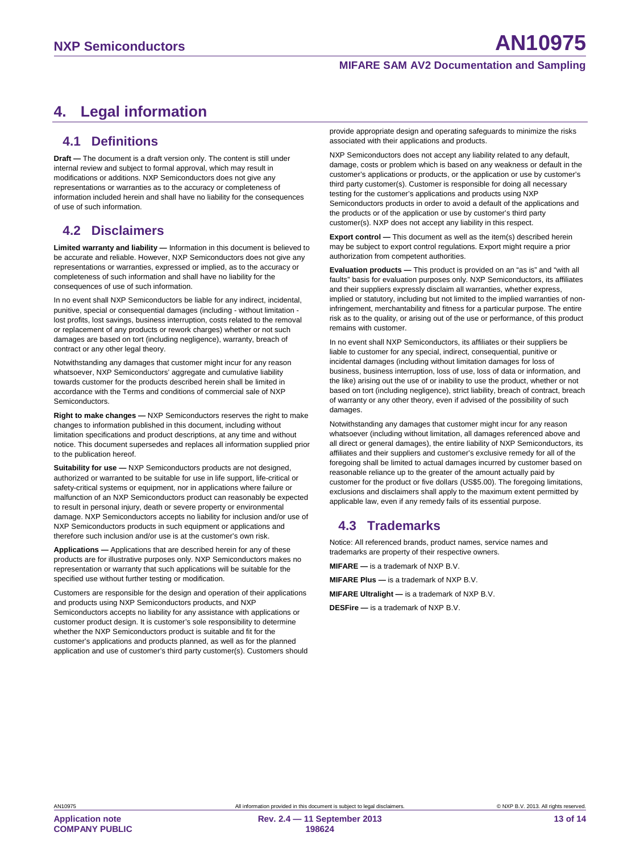# <span id="page-12-0"></span>**4. Legal information**

#### <span id="page-12-1"></span>**4.1 Definitions**

**Draft —** The document is a draft version only. The content is still under internal review and subject to formal approval, which may result in modifications or additions. NXP Semiconductors does not give any representations or warranties as to the accuracy or completeness of information included herein and shall have no liability for the consequences of use of such information.

# <span id="page-12-2"></span>**4.2 Disclaimers**

**Limited warranty and liability —** Information in this document is believed to be accurate and reliable. However, NXP Semiconductors does not give any representations or warranties, expressed or implied, as to the accuracy or completeness of such information and shall have no liability for the consequences of use of such information.

In no event shall NXP Semiconductors be liable for any indirect, incidental, punitive, special or consequential damages (including - without limitation lost profits, lost savings, business interruption, costs related to the removal or replacement of any products or rework charges) whether or not such damages are based on tort (including negligence), warranty, breach of contract or any other legal theory.

Notwithstanding any damages that customer might incur for any reason whatsoever, NXP Semiconductors' aggregate and cumulative liability towards customer for the products described herein shall be limited in accordance with the Terms and conditions of commercial sale of NXP Semiconductors.

**Right to make changes —** NXP Semiconductors reserves the right to make changes to information published in this document, including without limitation specifications and product descriptions, at any time and without notice. This document supersedes and replaces all information supplied prior to the publication hereof.

**Suitability for use —** NXP Semiconductors products are not designed, authorized or warranted to be suitable for use in life support, life-critical or safety-critical systems or equipment, nor in applications where failure or malfunction of an NXP Semiconductors product can reasonably be expected to result in personal injury, death or severe property or environmental damage. NXP Semiconductors accepts no liability for inclusion and/or use of NXP Semiconductors products in such equipment or applications and therefore such inclusion and/or use is at the customer's own risk.

**Applications —** Applications that are described herein for any of these products are for illustrative purposes only. NXP Semiconductors makes no representation or warranty that such applications will be suitable for the specified use without further testing or modification.

Customers are responsible for the design and operation of their applications and products using NXP Semiconductors products, and NXP Semiconductors accepts no liability for any assistance with applications or customer product design. It is customer's sole responsibility to determine whether the NXP Semiconductors product is suitable and fit for the customer's applications and products planned, as well as for the planned application and use of customer's third party customer(s). Customers should provide appropriate design and operating safeguards to minimize the risks associated with their applications and products.

NXP Semiconductors does not accept any liability related to any default, damage, costs or problem which is based on any weakness or default in the customer's applications or products, or the application or use by customer's third party customer(s). Customer is responsible for doing all necessary testing for the customer's applications and products using NXP Semiconductors products in order to avoid a default of the applications and the products or of the application or use by customer's third party customer(s). NXP does not accept any liability in this respect.

**Export control —** This document as well as the item(s) described herein may be subject to export control regulations. Export might require a prior authorization from competent authorities.

**Evaluation products —** This product is provided on an "as is" and "with all faults" basis for evaluation purposes only. NXP Semiconductors, its affiliates and their suppliers expressly disclaim all warranties, whether express, implied or statutory, including but not limited to the implied warranties of noninfringement, merchantability and fitness for a particular purpose. The entire risk as to the quality, or arising out of the use or performance, of this product remains with customer.

In no event shall NXP Semiconductors, its affiliates or their suppliers be liable to customer for any special, indirect, consequential, punitive or incidental damages (including without limitation damages for loss of business, business interruption, loss of use, loss of data or information, and the like) arising out the use of or inability to use the product, whether or not based on tort (including negligence), strict liability, breach of contract, breach of warranty or any other theory, even if advised of the possibility of such damages.

Notwithstanding any damages that customer might incur for any reason whatsoever (including without limitation, all damages referenced above and all direct or general damages), the entire liability of NXP Semiconductors, its affiliates and their suppliers and customer's exclusive remedy for all of the foregoing shall be limited to actual damages incurred by customer based on reasonable reliance up to the greater of the amount actually paid by customer for the product or five dollars (US\$5.00). The foregoing limitations, exclusions and disclaimers shall apply to the maximum extent permitted by applicable law, even if any remedy fails of its essential purpose.

# <span id="page-12-3"></span>**4.3 Trademarks**

Notice: All referenced brands, product names, service names and trademarks are property of their respective owners.

**MIFARE —** is a trademark of NXP B.V.

**MIFARE Plus —** is a trademark of NXP B.V.

**MIFARE Ultralight —** is a trademark of NXP B.V.

**DESFire —** is a trademark of NXP B.V.

**Application note COMPANY PUBLIC**